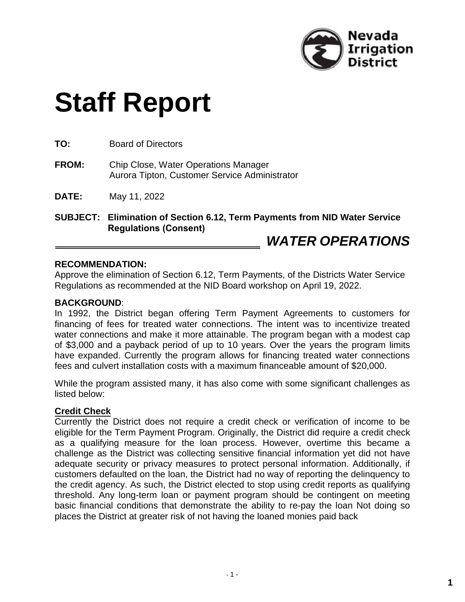

# **Staff Report**

**TO:** Board of Directors

**FROM:** Chip Close, Water Operations Manager Aurora Tipton, Customer Service Administrator

**DATE:** May 11, 2022

**Elimination of Section 6.12, Term Payments from NID Water Service SUBJECT: Regulations (Consent)**

# *WATER OPERATIONS*

## **RECOMMENDATION:**

Approve the elimination of Section 6.12, Term Payments, of the Districts Water Service Regulations as recommended at the NID Board workshop on April 19, 2022.

## **BACKGROUND**:

In 1992, the District began offering Term Payment Agreements to customers for financing of fees for treated water connections. The intent was to incentivize treated water connections and make it more attainable. The program began with a modest cap of \$3,000 and a payback period of up to 10 years. Over the years the program limits have expanded. Currently the program allows for financing treated water connections fees and culvert installation costs with a maximum financeable amount of \$20,000.

While the program assisted many, it has also come with some significant challenges as listed below:

## **Credit Check**

Currently the District does not require a credit check or verification of income to be eligible for the Term Payment Program. Originally, the District did require a credit check as a qualifying measure for the loan process. However, overtime this became a challenge as the District was collecting sensitive financial information yet did not have adequate security or privacy measures to protect personal information. Additionally, if customers defaulted on the loan, the District had no way of reporting the delinquency to the credit agency. As such, the District elected to stop using credit reports as qualifying threshold. Any long-term loan or payment program should be contingent on meeting basic financial conditions that demonstrate the ability to re-pay the loan Not doing so places the District at greater risk of not having the loaned monies paid back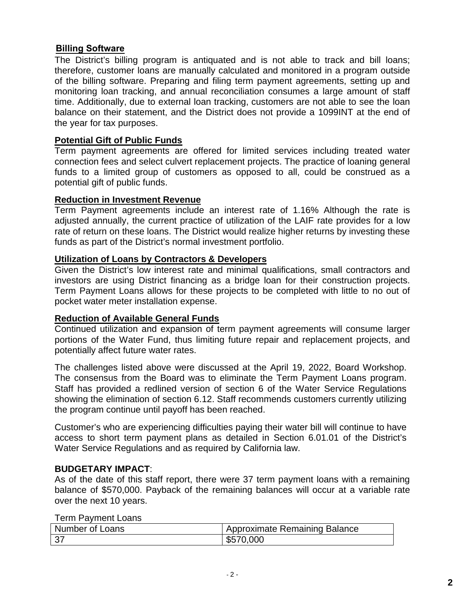## **Billing Software**

The District's billing program is antiquated and is not able to track and bill loans; therefore, customer loans are manually calculated and monitored in a program outside of the billing software. Preparing and filing term payment agreements, setting up and monitoring loan tracking, and annual reconciliation consumes a large amount of staff time. Additionally, due to external loan tracking, customers are not able to see the loan balance on their statement, and the District does not provide a 1099INT at the end of the year for tax purposes.

## **Potential Gift of Public Funds**

Term payment agreements are offered for limited services including treated water connection fees and select culvert replacement projects. The practice of loaning general funds to a limited group of customers as opposed to all, could be construed as a potential gift of public funds.

## **Reduction in Investment Revenue**

Term Payment agreements include an interest rate of 1.16% Although the rate is adjusted annually, the current practice of utilization of the LAIF rate provides for a low rate of return on these loans. The District would realize higher returns by investing these funds as part of the District's normal investment portfolio.

## **Utilization of Loans by Contractors & Developers**

Given the District's low interest rate and minimal qualifications, small contractors and investors are using District financing as a bridge loan for their construction projects. Term Payment Loans allows for these projects to be completed with little to no out of pocket water meter installation expense.

## **Reduction of Available General Funds**

Continued utilization and expansion of term payment agreements will consume larger portions of the Water Fund, thus limiting future repair and replacement projects, and potentially affect future water rates.

The challenges listed above were discussed at the April 19, 2022, Board Workshop. The consensus from the Board was to eliminate the Term Payment Loans program. Staff has provided a redlined version of section 6 of the Water Service Regulations showing the elimination of section 6.12. Staff recommends customers currently utilizing the program continue until payoff has been reached.

Customer's who are experiencing difficulties paying their water bill will continue to have access to short term payment plans as detailed in Section 6.01.01 of the District's Water Service Regulations and as required by California law.

## **BUDGETARY IMPACT**:

As of the date of this staff report, there were 37 term payment loans with a remaining balance of \$570,000. Payback of the remaining balances will occur at a variable rate over the next 10 years.

Term Payment Loans

| Number of Loans | Approximate Remaining Balance |
|-----------------|-------------------------------|
|                 | \$570,000                     |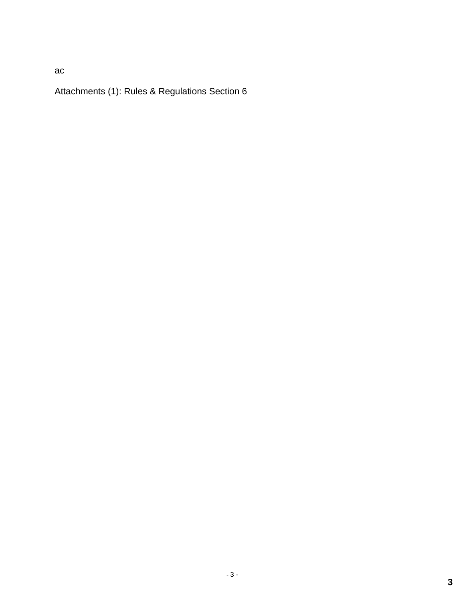Attachments (1): Rules & Regulations Section 6

ac

**3**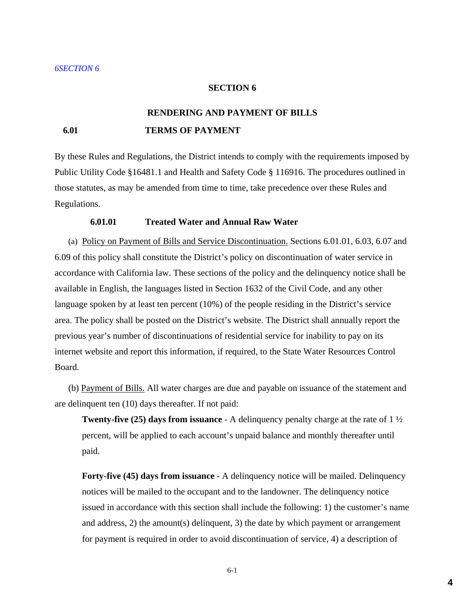#### **SECTION 6**

## **RENDERING AND PAYMENT OF BILLS 6.01 TERMS OF PAYMENT**

By these Rules and Regulations, the District intends to comply with the requirements imposed by Public Utility Code §16481.1 and Health and Safety Code § 116916. The procedures outlined in those statutes, as may be amended from time to time, take precedence over these Rules and Regulations.

#### **6.01.01 Treated Water and Annual Raw Water**

(a) Policy on Payment of Bills and Service Discontinuation. Sections 6.01.01, 6.03, 6.07 and 6.09 of this policy shall constitute the District's policy on discontinuation of water service in accordance with California law. These sections of the policy and the delinquency notice shall be available in English, the languages listed in Section 1632 of the Civil Code, and any other language spoken by at least ten percent (10%) of the people residing in the District's service area. The policy shall be posted on the District's website. The District shall annually report the previous year's number of discontinuations of residential service for inability to pay on its internet website and report this information, if required, to the State Water Resources Control Board.

(b) Payment of Bills. All water charges are due and payable on issuance of the statement and are delinquent ten (10) days thereafter. If not paid:

**Twenty-five (25) days from issuance** - A delinquency penalty charge at the rate of 1 ½ percent, will be applied to each account's unpaid balance and monthly thereafter until paid.

**Forty-five (45) days from issuance** - A delinquency notice will be mailed. Delinquency notices will be mailed to the occupant and to the landowner. The delinquency notice issued in accordance with this section shall include the following: 1) the customer's name and address, 2) the amount(s) delinquent, 3) the date by which payment or arrangement for payment is required in order to avoid discontinuation of service, 4) a description of

6-1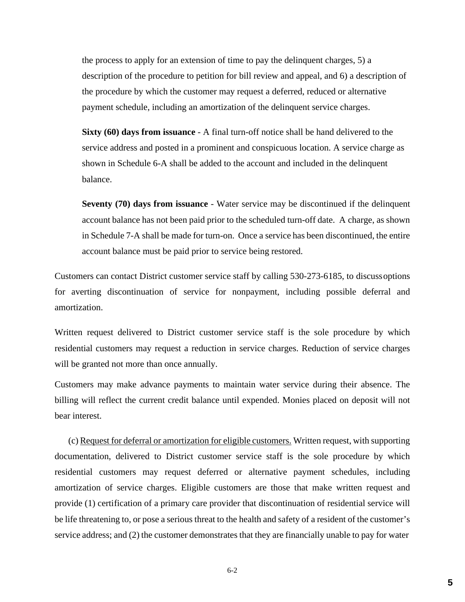the process to apply for an extension of time to pay the delinquent charges, 5) a description of the procedure to petition for bill review and appeal, and 6) a description of the procedure by which the customer may request a deferred, reduced or alternative payment schedule, including an amortization of the delinquent service charges.

**Sixty (60) days from issuance** - A final turn-off notice shall be hand delivered to the service address and posted in a prominent and conspicuous location. A service charge as shown in Schedule 6-A shall be added to the account and included in the delinquent balance.

**Seventy (70) days from issuance** - Water service may be discontinued if the delinquent account balance has not been paid prior to the scheduled turn-off date. A charge, as shown in Schedule 7-A shall be made for turn-on. Once a service has been discontinued, the entire account balance must be paid prior to service being restored.

Customers can contact District customer service staff by calling 530-273-6185, to discussoptions for averting discontinuation of service for nonpayment, including possible deferral and amortization.

Written request delivered to District customer service staff is the sole procedure by which residential customers may request a reduction in service charges. Reduction of service charges will be granted not more than once annually.

Customers may make advance payments to maintain water service during their absence. The billing will reflect the current credit balance until expended. Monies placed on deposit will not bear interest.

(c) Request for deferral or amortization for eligible customers. Written request, with supporting documentation, delivered to District customer service staff is the sole procedure by which residential customers may request deferred or alternative payment schedules, including amortization of service charges. Eligible customers are those that make written request and provide (1) certification of a primary care provider that discontinuation of residential service will be life threatening to, or pose a serious threat to the health and safety of a resident of the customer's service address; and (2) the customer demonstrates that they are financially unable to pay for water

6-2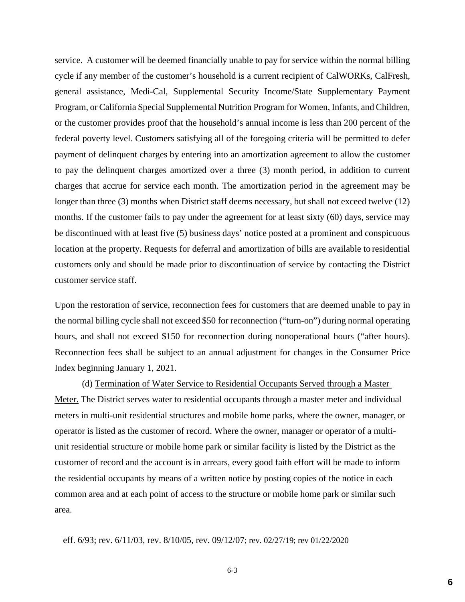service. A customer will be deemed financially unable to pay for service within the normal billing cycle if any member of the customer's household is a current recipient of CalWORKs, CalFresh, general assistance, Medi-Cal, Supplemental Security Income/State Supplementary Payment Program, or California Special Supplemental Nutrition Program for Women, Infants, and Children, or the customer provides proof that the household's annual income is less than 200 percent of the federal poverty level. Customers satisfying all of the foregoing criteria will be permitted to defer payment of delinquent charges by entering into an amortization agreement to allow the customer to pay the delinquent charges amortized over a three (3) month period, in addition to current charges that accrue for service each month. The amortization period in the agreement may be longer than three (3) months when District staff deems necessary, but shall not exceed twelve (12) months. If the customer fails to pay under the agreement for at least sixty (60) days, service may be discontinued with at least five (5) business days' notice posted at a prominent and conspicuous location at the property. Requests for deferral and amortization of bills are available to residential customers only and should be made prior to discontinuation of service by contacting the District customer service staff.

Upon the restoration of service, reconnection fees for customers that are deemed unable to pay in the normal billing cycle shall not exceed \$50 for reconnection ("turn-on") during normal operating hours, and shall not exceed \$150 for reconnection during nonoperational hours ("after hours). Reconnection fees shall be subject to an annual adjustment for changes in the Consumer Price Index beginning January 1, 2021.

(d) Termination of Water Service to Residential Occupants Served through a Master Meter. The District serves water to residential occupants through a master meter and individual meters in multi-unit residential structures and mobile home parks, where the owner, manager, or operator is listed as the customer of record. Where the owner, manager or operator of a multiunit residential structure or mobile home park or similar facility is listed by the District as the customer of record and the account is in arrears, every good faith effort will be made to inform the residential occupants by means of a written notice by posting copies of the notice in each common area and at each point of access to the structure or mobile home park or similar such area.

eff. 6/93; rev. 6/11/03, rev. 8/10/05, rev. 09/12/07; rev. 02/27/19; rev 01/22/2020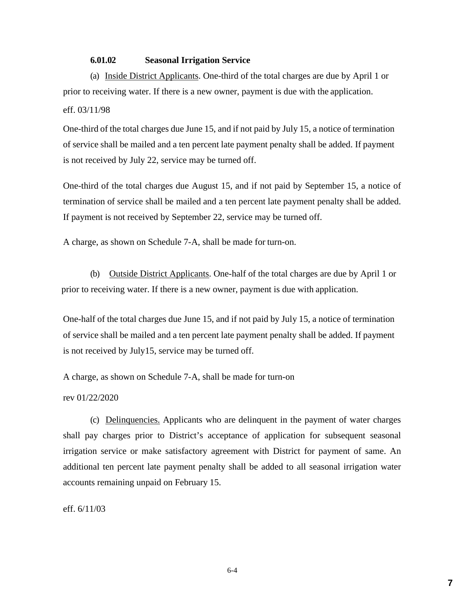#### **6.01.02 Seasonal Irrigation Service**

(a) Inside District Applicants. One-third of the total charges are due by April 1 or prior to receiving water. If there is a new owner, payment is due with the application. eff. 03/11/98

One-third of the total charges due June 15, and if not paid by July 15, a notice of termination of service shall be mailed and a ten percent late payment penalty shall be added. If payment is not received by July 22, service may be turned off.

One-third of the total charges due August 15, and if not paid by September 15, a notice of termination of service shall be mailed and a ten percent late payment penalty shall be added. If payment is not received by September 22, service may be turned off.

A charge, as shown on Schedule 7-A, shall be made for turn-on.

(b) Outside District Applicants. One-half of the total charges are due by April 1 or prior to receiving water. If there is a new owner, payment is due with application.

One-half of the total charges due June 15, and if not paid by July 15, a notice of termination of service shall be mailed and a ten percent late payment penalty shall be added. If payment is not received by July15, service may be turned off.

A charge, as shown on Schedule 7-A, shall be made for turn-on

rev 01/22/2020

(c) Delinquencies. Applicants who are delinquent in the payment of water charges shall pay charges prior to District's acceptance of application for subsequent seasonal irrigation service or make satisfactory agreement with District for payment of same. An additional ten percent late payment penalty shall be added to all seasonal irrigation water accounts remaining unpaid on February 15.

eff. 6/11/03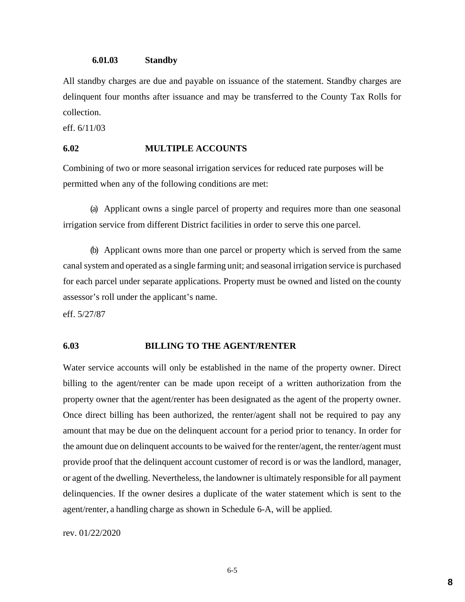#### **6.01.03 Standby**

All standby charges are due and payable on issuance of the statement. Standby charges are delinquent four months after issuance and may be transferred to the County Tax Rolls for collection.

eff. 6/11/03

#### **6.02 MULTIPLE ACCOUNTS**

Combining of two or more seasonal irrigation services for reduced rate purposes will be permitted when any of the following conditions are met:

(a) Applicant owns a single parcel of property and requires more than one seasonal irrigation service from different District facilities in order to serve this one parcel.

(b) Applicant owns more than one parcel or property which is served from the same canal system and operated as a single farming unit; and seasonal irrigation service is purchased for each parcel under separate applications. Property must be owned and listed on the county assessor's roll under the applicant's name.

eff. 5/27/87

#### **6.03 BILLING TO THE AGENT/RENTER**

Water service accounts will only be established in the name of the property owner. Direct billing to the agent/renter can be made upon receipt of a written authorization from the property owner that the agent/renter has been designated as the agent of the property owner. Once direct billing has been authorized, the renter/agent shall not be required to pay any amount that may be due on the delinquent account for a period prior to tenancy. In order for the amount due on delinquent accounts to be waived for the renter/agent, the renter/agent must provide proof that the delinquent account customer of record is or was the landlord, manager, or agent of the dwelling. Nevertheless, the landowner is ultimately responsible for all payment delinquencies. If the owner desires a duplicate of the water statement which is sent to the agent/renter, a handling charge as shown in Schedule 6-A, will be applied.

rev. 01/22/2020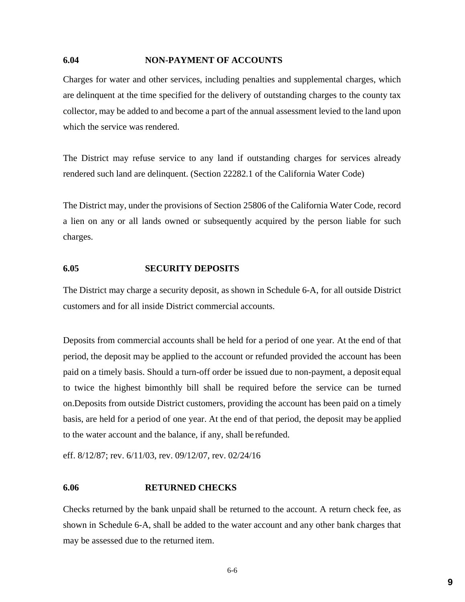## **6.04 NON-PAYMENT OF ACCOUNTS**

Charges for water and other services, including penalties and supplemental charges, which are delinquent at the time specified for the delivery of outstanding charges to the county tax collector, may be added to and become a part of the annual assessment levied to the land upon which the service was rendered.

The District may refuse service to any land if outstanding charges for services already rendered such land are delinquent. (Section 22282.1 of the California Water Code)

The District may, under the provisions of Section 25806 of the California Water Code, record a lien on any or all lands owned or subsequently acquired by the person liable for such charges.

## **6.05 SECURITY DEPOSITS**

The District may charge a security deposit, as shown in Schedule 6-A, for all outside District customers and for all inside District commercial accounts.

Deposits from commercial accounts shall be held for a period of one year. At the end of that period, the deposit may be applied to the account or refunded provided the account has been paid on a timely basis. Should a turn-off order be issued due to non-payment, a deposit equal to twice the highest bimonthly bill shall be required before the service can be turned on.Deposits from outside District customers, providing the account has been paid on a timely basis, are held for a period of one year. At the end of that period, the deposit may be applied to the water account and the balance, if any, shall be refunded.

eff. 8/12/87; rev. 6/11/03, rev. 09/12/07, rev. 02/24/16

## **6.06 RETURNED CHECKS**

Checks returned by the bank unpaid shall be returned to the account. A return check fee, as shown in Schedule 6-A, shall be added to the water account and any other bank charges that may be assessed due to the returned item.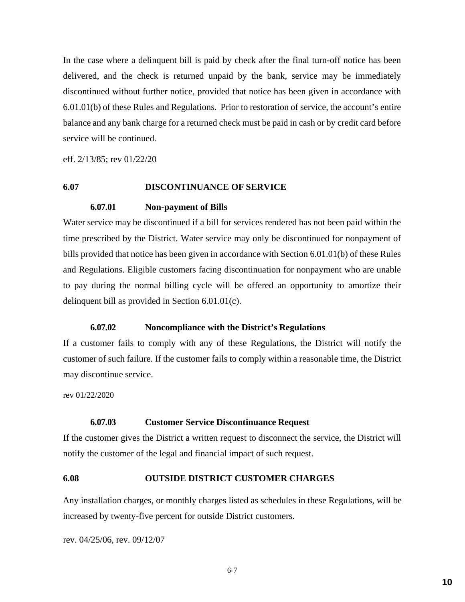In the case where a delinquent bill is paid by check after the final turn-off notice has been delivered, and the check is returned unpaid by the bank, service may be immediately discontinued without further notice, provided that notice has been given in accordance with 6.01.01(b) of these Rules and Regulations. Prior to restoration of service, the account's entire balance and any bank charge for a returned check must be paid in cash or by credit card before service will be continued.

eff. 2/13/85; rev 01/22/20

#### **6.07 DISCONTINUANCE OF SERVICE**

#### **6.07.01 Non-payment of Bills**

Water service may be discontinued if a bill for services rendered has not been paid within the time prescribed by the District. Water service may only be discontinued for nonpayment of bills provided that notice has been given in accordance with Section 6.01.01(b) of these Rules and Regulations. Eligible customers facing discontinuation for nonpayment who are unable to pay during the normal billing cycle will be offered an opportunity to amortize their delinquent bill as provided in Section 6.01.01(c).

#### **6.07.02 Noncompliance with the District's Regulations**

If a customer fails to comply with any of these Regulations, the District will notify the customer of such failure. If the customer fails to comply within a reasonable time, the District may discontinue service.

rev 01/22/2020

#### **6.07.03 Customer Service Discontinuance Request**

If the customer gives the District a written request to disconnect the service, the District will notify the customer of the legal and financial impact of such request.

#### **6.08 OUTSIDE DISTRICT CUSTOMER CHARGES**

Any installation charges, or monthly charges listed as schedules in these Regulations, will be increased by twenty-five percent for outside District customers.

rev. 04/25/06, rev. 09/12/07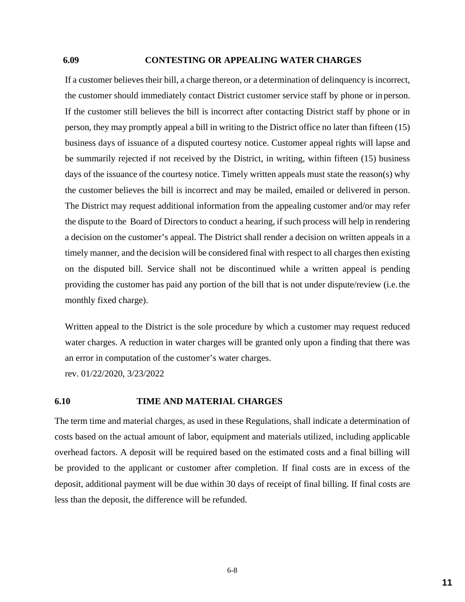#### **6.09 CONTESTING OR APPEALING WATER CHARGES**

If a customer believes their bill, a charge thereon, or a determination of delinquency is incorrect, the customer should immediately contact District customer service staff by phone or in person. If the customer still believes the bill is incorrect after contacting District staff by phone or in person, they may promptly appeal a bill in writing to the District office no later than fifteen (15) business days of issuance of a disputed courtesy notice. Customer appeal rights will lapse and be summarily rejected if not received by the District, in writing, within fifteen (15) business days of the issuance of the courtesy notice. Timely written appeals must state the reason(s) why the customer believes the bill is incorrect and may be mailed, emailed or delivered in person. The District may request additional information from the appealing customer and/or may refer the dispute to the Board of Directors to conduct a hearing, if such process will help in rendering a decision on the customer's appeal. The District shall render a decision on written appeals in a timely manner, and the decision will be considered final with respect to all charges then existing on the disputed bill. Service shall not be discontinued while a written appeal is pending providing the customer has paid any portion of the bill that is not under dispute/review (i.e.the monthly fixed charge).

Written appeal to the District is the sole procedure by which a customer may request reduced water charges. A reduction in water charges will be granted only upon a finding that there was an error in computation of the customer's water charges.

rev. 01/22/2020, 3/23/2022

## **6.10 TIME AND MATERIAL CHARGES**

The term time and material charges, as used in these Regulations, shall indicate a determination of costs based on the actual amount of labor, equipment and materials utilized, including applicable overhead factors. A deposit will be required based on the estimated costs and a final billing will be provided to the applicant or customer after completion. If final costs are in excess of the deposit, additional payment will be due within 30 days of receipt of final billing. If final costs are less than the deposit, the difference will be refunded.